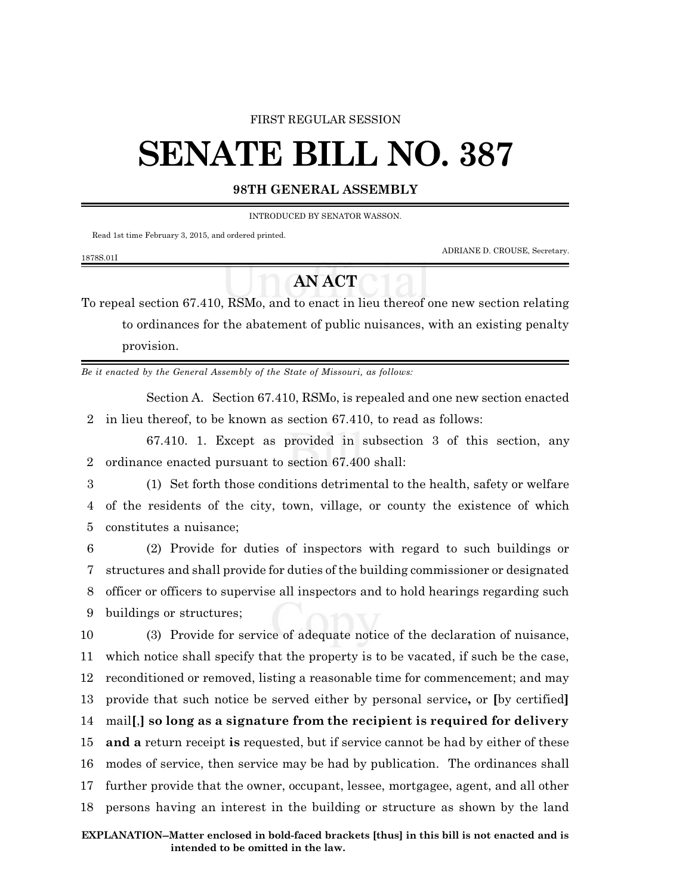#### FIRST REGULAR SESSION

# **SENATE BILL NO. 387**

### **98TH GENERAL ASSEMBLY**

INTRODUCED BY SENATOR WASSON.

Read 1st time February 3, 2015, and ordered printed.

ADRIANE D. CROUSE, Secretary.

#### 1878S.01I

## **AN ACT**

To repeal section 67.410, RSMo, and to enact in lieu thereof one new section relating to ordinances for the abatement of public nuisances, with an existing penalty provision.

*Be it enacted by the General Assembly of the State of Missouri, as follows:*

Section A. Section 67.410, RSMo, is repealed and one new section enacted 2 in lieu thereof, to be known as section 67.410, to read as follows:

67.410. 1. Except as provided in subsection 3 of this section, any 2 ordinance enacted pursuant to section 67.400 shall:

3 (1) Set forth those conditions detrimental to the health, safety or welfare 4 of the residents of the city, town, village, or county the existence of which 5 constitutes a nuisance;

 (2) Provide for duties of inspectors with regard to such buildings or structures and shall provide for duties of the building commissioner or designated officer or officers to supervise all inspectors and to hold hearings regarding such buildings or structures;

 (3) Provide for service of adequate notice of the declaration of nuisance, which notice shall specify that the property is to be vacated, if such be the case, reconditioned or removed, listing a reasonable time for commencement; and may provide that such notice be served either by personal service**,** or **[**by certified**]** mail**[**,**] so long as a signature from the recipient is required for delivery and a** return receipt **is** requested, but if service cannot be had by either of these modes of service, then service may be had by publication. The ordinances shall further provide that the owner, occupant, lessee, mortgagee, agent, and all other persons having an interest in the building or structure as shown by the land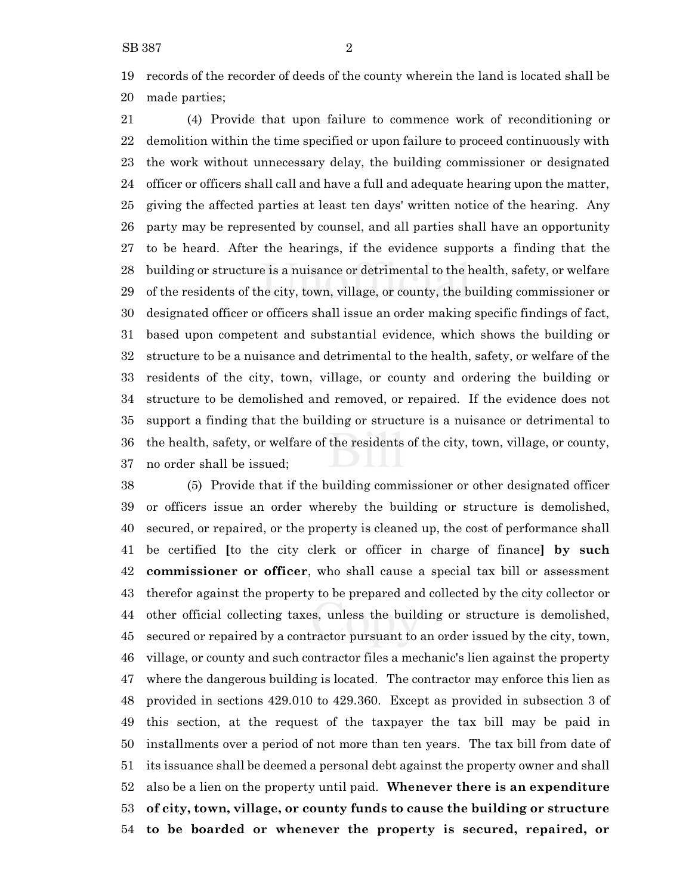records of the recorder of deeds of the county wherein the land is located shall be made parties;

 (4) Provide that upon failure to commence work of reconditioning or demolition within the time specified or upon failure to proceed continuously with the work without unnecessary delay, the building commissioner or designated officer or officers shall call and have a full and adequate hearing upon the matter, giving the affected parties at least ten days' written notice of the hearing. Any party may be represented by counsel, and all parties shall have an opportunity to be heard. After the hearings, if the evidence supports a finding that the building or structure is a nuisance or detrimental to the health, safety, or welfare of the residents of the city, town, village, or county, the building commissioner or designated officer or officers shall issue an order making specific findings of fact, based upon competent and substantial evidence, which shows the building or structure to be a nuisance and detrimental to the health, safety, or welfare of the residents of the city, town, village, or county and ordering the building or structure to be demolished and removed, or repaired. If the evidence does not support a finding that the building or structure is a nuisance or detrimental to the health, safety, or welfare of the residents of the city, town, village, or county, no order shall be issued;

 (5) Provide that if the building commissioner or other designated officer or officers issue an order whereby the building or structure is demolished, secured, or repaired, or the property is cleaned up, the cost of performance shall be certified **[**to the city clerk or officer in charge of finance**] by such commissioner or officer**, who shall cause a special tax bill or assessment therefor against the property to be prepared and collected by the city collector or other official collecting taxes, unless the building or structure is demolished, secured or repaired by a contractor pursuant to an order issued by the city, town, village, or county and such contractor files a mechanic's lien against the property where the dangerous building is located. The contractor may enforce this lien as provided in sections 429.010 to 429.360. Except as provided in subsection 3 of this section, at the request of the taxpayer the tax bill may be paid in installments over a period of not more than ten years. The tax bill from date of its issuance shall be deemed a personal debt against the property owner and shall also be a lien on the property until paid. **Whenever there is an expenditure of city, town, village, or county funds to cause the building or structure to be boarded or whenever the property is secured, repaired, or**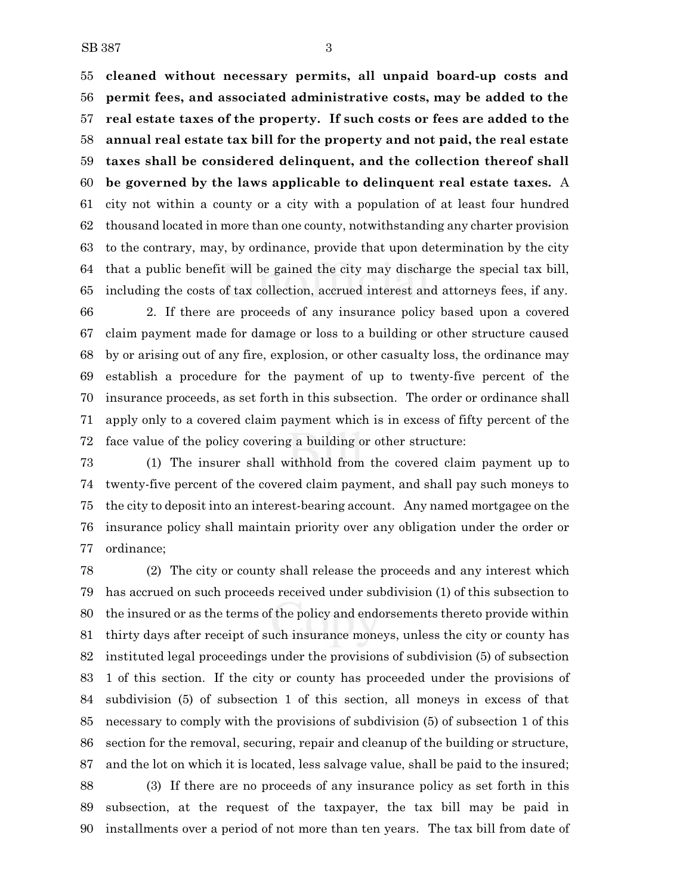**cleaned without necessary permits, all unpaid board-up costs and permit fees, and associated administrative costs, may be added to the real estate taxes of the property. If such costs or fees are added to the annual real estate tax bill for the property and not paid, the real estate taxes shall be considered delinquent, and the collection thereof shall be governed by the laws applicable to delinquent real estate taxes.** A city not within a county or a city with a population of at least four hundred thousand located in more than one county, notwithstanding any charter provision to the contrary, may, by ordinance, provide that upon determination by the city that a public benefit will be gained the city may discharge the special tax bill, including the costs of tax collection, accrued interest and attorneys fees, if any.

 2. If there are proceeds of any insurance policy based upon a covered claim payment made for damage or loss to a building or other structure caused by or arising out of any fire, explosion, or other casualty loss, the ordinance may establish a procedure for the payment of up to twenty-five percent of the insurance proceeds, as set forth in this subsection. The order or ordinance shall apply only to a covered claim payment which is in excess of fifty percent of the face value of the policy covering a building or other structure:

 (1) The insurer shall withhold from the covered claim payment up to twenty-five percent of the covered claim payment, and shall pay such moneys to the city to deposit into an interest-bearing account. Any named mortgagee on the insurance policy shall maintain priority over any obligation under the order or ordinance;

 (2) The city or county shall release the proceeds and any interest which has accrued on such proceeds received under subdivision (1) of this subsection to the insured or as the terms of the policy and endorsements thereto provide within thirty days after receipt of such insurance moneys, unless the city or county has instituted legal proceedings under the provisions of subdivision (5) of subsection 1 of this section. If the city or county has proceeded under the provisions of subdivision (5) of subsection 1 of this section, all moneys in excess of that necessary to comply with the provisions of subdivision (5) of subsection 1 of this section for the removal, securing, repair and cleanup of the building or structure, and the lot on which it is located, less salvage value, shall be paid to the insured;

 (3) If there are no proceeds of any insurance policy as set forth in this subsection, at the request of the taxpayer, the tax bill may be paid in installments over a period of not more than ten years. The tax bill from date of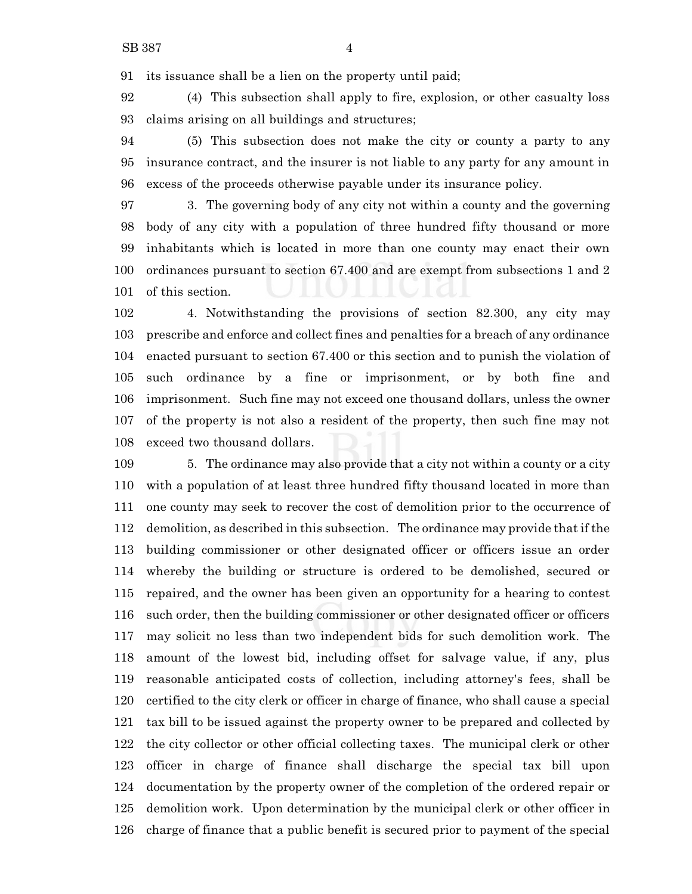its issuance shall be a lien on the property until paid;

 (4) This subsection shall apply to fire, explosion, or other casualty loss claims arising on all buildings and structures;

 (5) This subsection does not make the city or county a party to any insurance contract, and the insurer is not liable to any party for any amount in excess of the proceeds otherwise payable under its insurance policy.

 3. The governing body of any city not within a county and the governing body of any city with a population of three hundred fifty thousand or more inhabitants which is located in more than one county may enact their own ordinances pursuant to section 67.400 and are exempt from subsections 1 and 2 of this section.

 4. Notwithstanding the provisions of section 82.300, any city may prescribe and enforce and collect fines and penalties for a breach of any ordinance enacted pursuant to section 67.400 or this section and to punish the violation of such ordinance by a fine or imprisonment, or by both fine and imprisonment. Such fine may not exceed one thousand dollars, unless the owner of the property is not also a resident of the property, then such fine may not exceed two thousand dollars.

 5. The ordinance may also provide that a city not within a county or a city with a population of at least three hundred fifty thousand located in more than one county may seek to recover the cost of demolition prior to the occurrence of demolition, as described in this subsection. The ordinance may provide that if the building commissioner or other designated officer or officers issue an order whereby the building or structure is ordered to be demolished, secured or repaired, and the owner has been given an opportunity for a hearing to contest such order, then the building commissioner or other designated officer or officers may solicit no less than two independent bids for such demolition work. The amount of the lowest bid, including offset for salvage value, if any, plus reasonable anticipated costs of collection, including attorney's fees, shall be certified to the city clerk or officer in charge of finance, who shall cause a special tax bill to be issued against the property owner to be prepared and collected by the city collector or other official collecting taxes. The municipal clerk or other officer in charge of finance shall discharge the special tax bill upon documentation by the property owner of the completion of the ordered repair or demolition work. Upon determination by the municipal clerk or other officer in charge of finance that a public benefit is secured prior to payment of the special